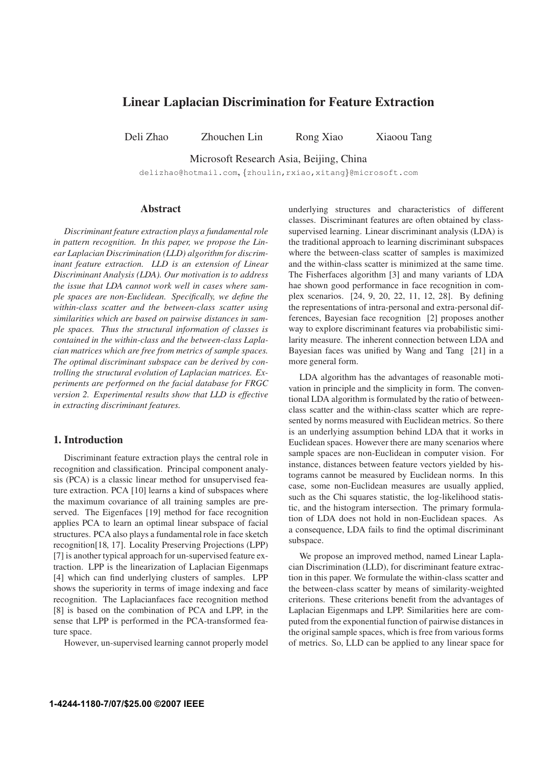# **Linear Laplacian Discrimination for Feature Extraction**

Deli Zhao Zhouchen Lin Rong Xiao Xiaoou Tang

Microsoft Research Asia, Beijing, China

delizhao@hotmail.com, {zhoulin,rxiao,xitang}@microsoft.com

## **Abstract**

*Discriminant feature extraction plays a fundamental role in pattern recognition. In this paper, we propose the Linear Laplacian Discrimination (LLD) algorithm for discriminant feature extraction. LLD is an extension of Linear Discriminant Analysis (LDA). Our motivation is to address the issue that LDA cannot work well in cases where sample spaces are non-Euclidean. Specifically, we define the within-class scatter and the between-class scatter using similarities which are based on pairwise distances in sample spaces. Thus the structural information of classes is contained in the within-class and the between-class Laplacian matrices which are free from metrics of sample spaces. The optimal discriminant subspace can be derived by controlling the structural evolution of Laplacian matrices. Experiments are performed on the facial database for FRGC version 2. Experimental results show that LLD is effective in extracting discriminant features.*

### **1. Introduction**

Discriminant feature extraction plays the central role in recognition and classification. Principal component analysis (PCA) is a classic linear method for unsupervised feature extraction. PCA [10] learns a kind of subspaces where the maximum covariance of all training samples are preserved. The Eigenfaces [19] method for face recognition applies PCA to learn an optimal linear subspace of facial structures. PCA also plays a fundamental role in face sketch recognition[18, 17]. Locality Preserving Projections (LPP) [7] is another typical approach for un-supervised feature extraction. LPP is the linearization of Laplacian Eigenmaps [4] which can find underlying clusters of samples. LPP shows the superiority in terms of image indexing and face recognition. The Laplacianfaces face recognition method [8] is based on the combination of PCA and LPP, in the sense that LPP is performed in the PCA-transformed feature space.

However, un-supervised learning cannot properly model

underlying structures and characteristics of different classes. Discriminant features are often obtained by classsupervised learning. Linear discriminant analysis (LDA) is the traditional approach to learning discriminant subspaces where the between-class scatter of samples is maximized and the within-class scatter is minimized at the same time. The Fisherfaces algorithm [3] and many variants of LDA hae shown good performance in face recognition in complex scenarios. [24, 9, 20, 22, 11, 12, 28]. By defining the representations of intra-personal and extra-personal differences, Bayesian face recognition [2] proposes another way to explore discriminant features via probabilistic similarity measure. The inherent connection between LDA and Bayesian faces was unified by Wang and Tang [21] in a more general form.

LDA algorithm has the advantages of reasonable motivation in principle and the simplicity in form. The conventional LDA algorithm is formulated by the ratio of betweenclass scatter and the within-class scatter which are represented by norms measured with Euclidean metrics. So there is an underlying assumption behind LDA that it works in Euclidean spaces. However there are many scenarios where sample spaces are non-Euclidean in computer vision. For instance, distances between feature vectors yielded by histograms cannot be measured by Euclidean norms. In this case, some non-Euclidean measures are usually applied, such as the Chi squares statistic, the log-likelihood statistic, and the histogram intersection. The primary formulation of LDA does not hold in non-Euclidean spaces. As a consequence, LDA fails to find the optimal discriminant subspace.

We propose an improved method, named Linear Laplacian Discrimination (LLD), for discriminant feature extraction in this paper. We formulate the within-class scatter and the between-class scatter by means of similarity-weighted criterions. These criterions benefit from the advantages of Laplacian Eigenmaps and LPP. Similarities here are computed from the exponential function of pairwise distances in the original sample spaces, which is free from various forms of metrics. So, LLD can be applied to any linear space for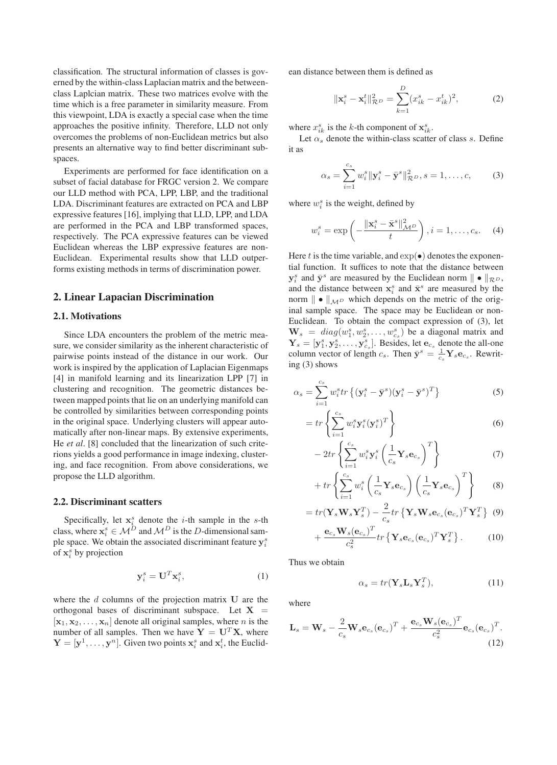classification. The structural information of classes is governed by the within-class Laplacian matrix and the betweenclass Laplcian matrix. These two matrices evolve with the time which is a free parameter in similarity measure. From this viewpoint, LDA is exactly a special case when the time approaches the positive infinity. Therefore, LLD not only overcomes the problems of non-Euclidean metrics but also presents an alternative way to find better discriminant subspaces.

Experiments are performed for face identification on a subset of facial database for FRGC version 2. We compare our LLD method with PCA, LPP, LBP, and the traditional LDA. Discriminant features are extracted on PCA and LBP expressive features [16], implying that LLD, LPP, and LDA are performed in the PCA and LBP transformed spaces, respectively. The PCA expressive features can be viewed Euclidean whereas the LBP expressive features are non-Euclidean. Experimental results show that LLD outperforms existing methods in terms of discrimination power.

#### **2. Linear Lapacian Discrimination**

#### **2.1. Motivations**

Since LDA encounters the problem of the metric measure, we consider similarity as the inherent characteristic of pairwise points instead of the distance in our work. Our work is inspired by the application of Laplacian Eigenmaps [4] in manifold learning and its linearization LPP [7] in clustering and recognition. The geometric distances between mapped points that lie on an underlying manifold can be controlled by similarities between corresponding points in the original space. Underlying clusters will appear automatically after non-linear maps. By extensive experiments, He *et al*. [8] concluded that the linearization of such criterions yields a good performance in image indexing, clustering, and face recognition. From above considerations, we propose the LLD algorithm.

#### **2.2. Discriminant scatters**

Specifically, let  $x_i^s$  denote the *i*-th sample in the *s*-th class, where  $x_i^s \in M^D$  and  $M^D$  is the D-dimensional sample space. We obtain the associated discriminant feature  $y_i^s$ of  $x_i^s$  by projection

$$
\mathbf{y}_i^s = \mathbf{U}^T \mathbf{x}_i^s,\tag{1}
$$

where the  $d$  columns of the projection matrix  $U$  are the orthogonal bases of discriminant subspace. Let  $X =$  $[x_1, x_2, \ldots, x_n]$  denote all original samples, where *n* is the number of all samples. Then we have  $Y = U^T X$ , where  $\mathbf{Y} = [\mathbf{y}^1, \dots, \mathbf{y}^n]$ . Given two points  $\mathbf{x}_i^s$  and  $\mathbf{x}_i^t$ , the Euclidean distance between them is defined as

$$
\|\mathbf{x}_{i}^{s} - \mathbf{x}_{i}^{t}\|_{\mathcal{R}^{D}}^{2} = \sum_{k=1}^{D} (x_{ik}^{s} - x_{ik}^{t})^{2},
$$
 (2)

where  $x_{ik}^s$  is the k-th component of  $\mathbf{x}_{ik}^s$ .

Let  $\alpha_s$  denote the within-class scatter of class s. Define it as

$$
\alpha_s = \sum_{i=1}^{c_s} w_i^s \| \mathbf{y}_i^s - \bar{\mathbf{y}}^s \|^2_{\mathcal{R}^D}, s = 1, \dots, c,
$$
 (3)

where  $w_i^s$  is the weight, defined by

$$
w_i^s = \exp\left(-\frac{\|\mathbf{x}_i^s - \bar{\mathbf{x}}^s\|_{\mathcal{M}^D}^2}{t}\right), i = 1, \dots, c_s. \tag{4}
$$

Here t is the time variable, and  $\exp(\bullet)$  denotes the exponential function. It suffices to note that the distance between  $y_i^s$  and  $\bar{y}^s$  are measured by the Euclidean norm  $\|\bullet\|_{\mathcal{R}^D}$ , and the distance between  $x_i^s$  and  $\bar{x}^s$  are measured by the norm  $\|\bullet\|_{\mathcal{M}^D}$  which depends on the metric of the original sample space. The space may be Euclidean or non-Euclidean. To obtain the compact expression of (3), let  $\mathbf{W}_s = diag(w_1^s, w_2^s, \dots, w_{c_s}^s)$  be a diagonal matrix and  $\mathbf{Y}_s = [\mathbf{y}_1^s, \mathbf{y}_2^s, \dots, \mathbf{y}_{c_s}^s]$ . Besides, let  $\mathbf{e}_{c_s}$  denote the all-one column vector of length  $c_s$ . Then  $\bar{y}^s = \frac{1}{c_s}$  $\frac{1}{c_s}$ **Y**<sub>s</sub> $e_{c_s}$ . Rewriting (3) shows

$$
\alpha_s = \sum_{i=1}^{c_s} w_i^s tr\left\{ (\mathbf{y}_i^s - \bar{\mathbf{y}}^s)(\mathbf{y}_i^s - \bar{\mathbf{y}}^s)^T \right\}
$$
(5)

$$
=tr\left\{\sum_{i=1}^{c_s} w_i^s \mathbf{y}_i^s (\mathbf{y}_i^s)^T\right\} \tag{6}
$$

$$
-2tr\left\{\sum_{i=1}^{c_s} w_i^s \mathbf{y}_i^s \left(\frac{1}{c_s} \mathbf{Y}_s \mathbf{e}_{c_s}\right)^T\right\} \tag{7}
$$

$$
+ tr \left\{ \sum_{i=1}^{c_s} w_i^s \left( \frac{1}{c_s} \mathbf{Y}_s \mathbf{e}_{c_s} \right) \left( \frac{1}{c_s} \mathbf{Y}_s \mathbf{e}_{c_s} \right)^T \right\} \tag{8}
$$

$$
=tr(\mathbf{Y}_s \mathbf{W}_s \mathbf{Y}_s^T) - \frac{2}{c_s} tr\left\{\mathbf{Y}_s \mathbf{W}_s \mathbf{e}_{c_s}(\mathbf{e}_{c_s})^T \mathbf{Y}_s^T\right\} (9)
$$

$$
+\frac{\mathbf{e}_{c_s}\mathbf{W}_s(\mathbf{e}_{c_s})^T}{c_s^2}tr\left\{\mathbf{Y}_s\mathbf{e}_{c_s}(\mathbf{e}_{c_s})^T\mathbf{Y}_s^T\right\}.
$$
 (10)

Thus we obtain

$$
\alpha_s = tr(\mathbf{Y}_s \mathbf{L}_s \mathbf{Y}_s^T), \tag{11}
$$

where

$$
\mathbf{L}_s = \mathbf{W}_s - \frac{2}{c_s} \mathbf{W}_s \mathbf{e}_{c_s} (\mathbf{e}_{c_s})^T + \frac{\mathbf{e}_{c_s} \mathbf{W}_s (\mathbf{e}_{c_s})^T}{c_s^2} \mathbf{e}_{c_s} (\mathbf{e}_{c_s})^T.
$$
\n(12)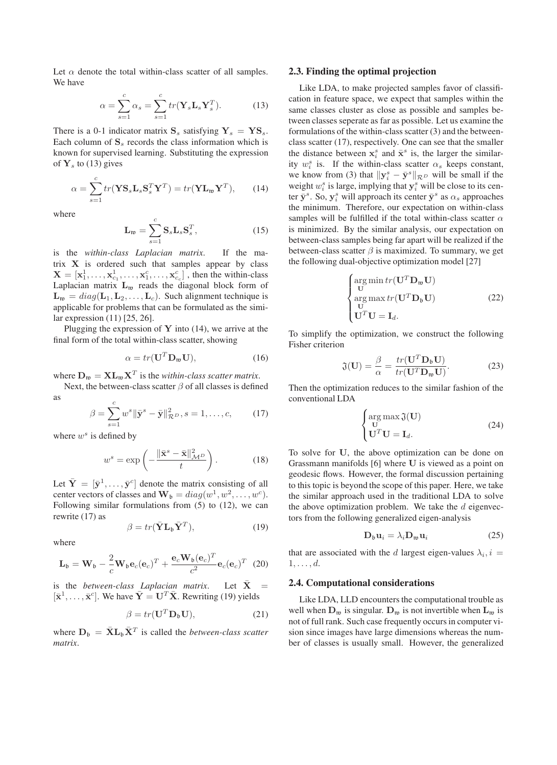Let  $\alpha$  denote the total within-class scatter of all samples. We have

$$
\alpha = \sum_{s=1}^{c} \alpha_s = \sum_{s=1}^{c} tr(\mathbf{Y}_s \mathbf{L}_s \mathbf{Y}_s^T).
$$
 (13)

There is a 0-1 indicator matrix  $S_s$  satisfying  $Y_s = YS_s$ . Each column of  $S<sub>s</sub>$  records the class information which is known for supervised learning. Substituting the expression of  $Y_s$  to (13) gives

$$
\alpha = \sum_{s=1}^{c} tr(\mathbf{Y} \mathbf{S}_s \mathbf{L}_s \mathbf{S}_s^T \mathbf{Y}^T) = tr(\mathbf{Y} \mathbf{L}_{\mathfrak{w}} \mathbf{Y}^T), \qquad (14)
$$

where

$$
\mathbf{L}_{\mathfrak{w}} = \sum_{s=1}^{c} \mathbf{S}_{s} \mathbf{L}_{s} \mathbf{S}_{s}^{T}, \qquad (15)
$$

is the *within-class Laplacian matrix*. If the matrix  $X$  is ordered such that samples appear by class  $\mathbf{X} = [\mathbf{x}_1^1, \dots, \mathbf{x}_{c_1}^1, \dots, \mathbf{x}_{1}^c, \dots, \mathbf{x}_{c_c}^c]$ , then the within-class Laplacian matrix  $L_w$  reads the diagonal block form of  $\mathbf{L}_{\mathfrak{w}} = diag(\mathbf{L}_1, \mathbf{L}_2, \dots, \mathbf{L}_c)$ . Such alignment technique is applicable for problems that can be formulated as the similar expression (11) [25, 26].

Plugging the expression of  $Y$  into (14), we arrive at the final form of the total within-class scatter, showing

$$
\alpha = tr(\mathbf{U}^T \mathbf{D}_{\mathfrak{w}} \mathbf{U}),\tag{16}
$$

where  $D_w = X L_w X^T$  is the *within-class scatter matrix*.

Next, the between-class scatter  $\beta$  of all classes is defined as

$$
\beta = \sum_{s=1}^{c} w^s \|\bar{\mathbf{y}}^s - \bar{\mathbf{y}}\|_{\mathcal{R}^D}^2, s = 1, \dots, c,
$$
 (17)

where  $w^s$  is defined by

$$
w^s = \exp\left(-\frac{\|\bar{\mathbf{x}}^s - \bar{\mathbf{x}}\|_{\mathcal{M}^D}^2}{t}\right).
$$
 (18)

Let  $\bar{Y} = [\bar{y}^1, \dots, \bar{y}^c]$  denote the matrix consisting of all center vectors of classes and  $\mathbf{W}_{\mathfrak{b}} = diag(w^1, w^2, \dots, w^c)$ . Following similar formulations from (5) to (12), we can rewrite (17) as

$$
\beta = tr(\bar{\mathbf{Y}} \mathbf{L}_{\mathfrak{b}} \bar{\mathbf{Y}}^T),\tag{19}
$$

where

$$
\mathbf{L}_{\mathfrak{b}} = \mathbf{W}_{\mathfrak{b}} - \frac{2}{c} \mathbf{W}_{\mathfrak{b}} \mathbf{e}_{c}(\mathbf{e}_{c})^{T} + \frac{\mathbf{e}_{c} \mathbf{W}_{\mathfrak{b}}(\mathbf{e}_{c})^{T}}{c^{2}} \mathbf{e}_{c}(\mathbf{e}_{c})^{T} \tag{20}
$$

is the *between-class Laplacian matrix*. Let  $\bar{X}$  $[\bar{\mathbf{x}}^1, \dots, \bar{\mathbf{x}}^c]$ . We have  $\bar{\mathbf{Y}} = \mathbf{U}^T \bar{\mathbf{X}}$ . Rewriting (19) yields

$$
\beta = tr(\mathbf{U}^T \mathbf{D}_\mathfrak{b} \mathbf{U}),\tag{21}
$$

where  $D_b = \bar{X}L_b\bar{X}^T$  is called the *between-class scatter matrix*.

#### **2.3. Finding the optimal projection**

Like LDA, to make projected samples favor of classification in feature space, we expect that samples within the same classes cluster as close as possible and samples between classes seperate as far as possible. Let us examine the formulations of the within-class scatter (3) and the betweenclass scatter (17), respectively. One can see that the smaller the distance between  $x_i^s$  and  $\bar{x}^s$  is, the larger the similarity  $w_i^s$  is. If the within-class scatter  $\alpha_s$  keeps constant, we know from (3) that  $\|\mathbf{y}_{i}^{s} - \bar{\mathbf{y}}^{s}\|_{\mathcal{R}^{D}}$  will be small if the weight  $w_i^s$  is large, implying that  $y_i^s$  will be close to its center  $\bar{\mathbf{y}}^s$ . So,  $\mathbf{y}_i^s$  will approach its center  $\bar{\mathbf{y}}^s$  as  $\alpha_s$  approaches the minimum. Therefore, our expectation on within-class samples will be fulfilled if the total within-class scatter  $\alpha$ is minimized. By the similar analysis, our expectation on between-class samples being far apart will be realized if the between-class scatter  $\beta$  is maximized. To summary, we get the following dual-objective optimization model [27]

$$
\begin{cases}\n\arg \min tr(\mathbf{U}^T \mathbf{D}_{\mathfrak{w}} \mathbf{U}) \\
\text{or} \\
\arg \max tr(\mathbf{U}^T \mathbf{D}_{\mathfrak{b}} \mathbf{U}) \\
\mathbf{U}^T \mathbf{U} = \mathbf{I}_d.\n\end{cases}
$$
\n(22)

To simplify the optimization, we construct the following Fisher criterion

$$
\mathfrak{J}(\mathbf{U}) = \frac{\beta}{\alpha} = \frac{tr(\mathbf{U}^T \mathbf{D}_b \mathbf{U})}{tr(\mathbf{U}^T \mathbf{D}_m \mathbf{U})}.
$$
 (23)

Then the optimization reduces to the similar fashion of the conventional LDA

$$
\begin{cases}\n\arg \max \mathfrak{J}(\mathbf{U}) \\
\mathbf{U}^T \mathbf{U} = \mathbf{I}_d.\n\end{cases}
$$
\n(24)

To solve for U, the above optimization can be done on Grassmann manifolds [6] where U is viewed as a point on geodesic flows. However, the formal discussion pertaining to this topic is beyond the scope of this paper. Here, we take the similar approach used in the traditional LDA to solve the above optimization problem. We take the  $d$  eigenvectors from the following generalized eigen-analysis

$$
\mathbf{D}_{\mathfrak{b}}\mathbf{u}_{i} = \lambda_{i}\mathbf{D}_{\mathfrak{w}}\mathbf{u}_{i} \tag{25}
$$

that are associated with the d largest eigen-values  $\lambda_i$ ,  $i =$  $1, \ldots, d$ .

### **2.4. Computational considerations**

Like LDA, LLD encounters the computational trouble as well when  $D_m$  is singular.  $D_m$  is not invertible when  $L_m$  is not of full rank. Such case frequently occurs in computer vision since images have large dimensions whereas the number of classes is usually small. However, the generalized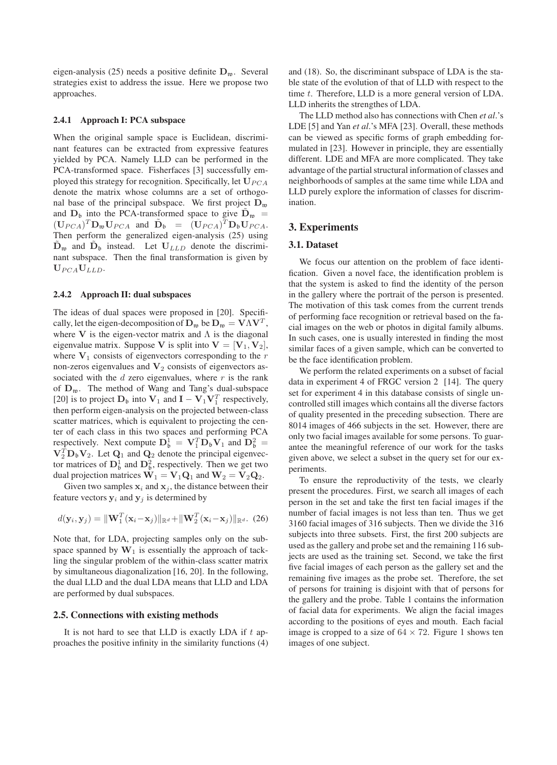eigen-analysis (25) needs a positive definite  $D_w$ . Several strategies exist to address the issue. Here we propose two approaches.

#### **2.4.1 Approach I: PCA subspace**

When the original sample space is Euclidean, discriminant features can be extracted from expressive features yielded by PCA. Namely LLD can be performed in the PCA-transformed space. Fisherfaces [3] successfully employed this strategy for recognition. Specifically, let  $U_{PCA}$ denote the matrix whose columns are a set of orthogonal base of the principal subspace. We first project  $D_w$ and  $D_{\rm b}$  into the PCA-transformed space to give  $\dot{D}_{\rm w}$  =  $(\mathbf{U}_{PCA})^T \mathbf{D}_{\mathfrak{w}} \mathbf{U}_{PCA}$  and  $\tilde{\mathbf{D}}_{\mathfrak{b}} = (\mathbf{U}_{PCA})^T \mathbf{D}_{\mathfrak{b}} \mathbf{U}_{PCA}$ . Then perform the generalized eigen-analysis (25) using  $\tilde{\mathbf{D}}_{\mathfrak{w}}$  and  $\tilde{\mathbf{D}}_{\mathfrak{b}}$  instead. Let  $\mathbf{U}_{LLD}$  denote the discriminant subspace. Then the final transformation is given by  $U_{PCA}U_{LLD}$ .

#### **2.4.2 Approach II: dual subspaces**

The ideas of dual spaces were proposed in [20]. Specifically, let the eigen-decomposition of  $\mathbf{D}_{\mathfrak{w}}$  be  $\mathbf{D}_{\mathfrak{w}} = \mathbf{V} \Lambda \mathbf{V}^T$ , where V is the eigen-vector matrix and  $\Lambda$  is the diagonal eigenvalue matrix. Suppose V is split into  $V = [V_1, V_2]$ , where  $V_1$  consists of eigenvectors corresponding to the r non-zeros eigenvalues and  $V_2$  consists of eigenvectors associated with the  $d$  zero eigenvalues, where  $r$  is the rank of  $D_{\mathfrak{w}}$ . The method of Wang and Tang's dual-subspace [20] is to project  $D_b$  into  $V_1$  and  $I - V_1 V_1^T$  respectively, then perform eigen-analysis on the projected between-class scatter matrices, which is equivalent to projecting the center of each class in this two spaces and performing PCA respectively. Next compute  $\mathbf{D}_{\mathfrak{b}}^1 = \mathbf{V}_1^T \mathbf{D}_{\mathfrak{b}} \mathbf{V}_1$  and  $\mathbf{D}_{\mathfrak{b}}^2 =$  $V_2^T D_b V_2$ . Let  $Q_1$  and  $Q_2$  denote the principal eigenvector matrices of  $\mathbf{D}_{\mathfrak{b}}^1$  and  $\mathbf{D}_{\mathfrak{b}}^2$ , respectively. Then we get two dual projection matrices  $W_1 = V_1 Q_1$  and  $W_2 = V_2 Q_2$ .

Given two samples  $x_i$  and  $x_j$ , the distance between their feature vectors  $y_i$  and  $y_j$  is determined by

$$
d(\mathbf{y}_i, \mathbf{y}_j) = \|\mathbf{W}_1^T(\mathbf{x}_i - \mathbf{x}_j)\|_{\mathbb{R}^d} + \|\mathbf{W}_2^T(\mathbf{x}_i - \mathbf{x}_j)\|_{\mathbb{R}^d}.
$$
 (26)

Note that, for LDA, projecting samples only on the subspace spanned by  $W_1$  is essentially the approach of tackling the singular problem of the within-class scatter matrix by simultaneous diagonalization [16, 20]. In the following, the dual LLD and the dual LDA means that LLD and LDA are performed by dual subspaces.

### **2.5. Connections with existing methods**

It is not hard to see that LLD is exactly LDA if  $t$  approaches the positive infinity in the similarity functions (4) and (18). So, the discriminant subspace of LDA is the stable state of the evolution of that of LLD with respect to the time t. Therefore, LLD is a more general version of LDA. LLD inherits the strengthes of LDA.

The LLD method also has connections with Chen *et al*.'s LDE [5] and Yan *et al*.'s MFA [23]. Overall, these methods can be viewed as specific forms of graph embedding formulated in [23]. However in principle, they are essentially different. LDE and MFA are more complicated. They take advantage of the partial structural information of classes and neighborhoods of samples at the same time while LDA and LLD purely explore the information of classes for discrimination.

### **3. Experiments**

### **3.1. Dataset**

We focus our attention on the problem of face identification. Given a novel face, the identification problem is that the system is asked to find the identity of the person in the gallery where the portrait of the person is presented. The motivation of this task comes from the current trends of performing face recognition or retrieval based on the facial images on the web or photos in digital family albums. In such cases, one is usually interested in finding the most similar faces of a given sample, which can be converted to be the face identification problem.

We perform the related experiments on a subset of facial data in experiment 4 of FRGC version 2 [14]. The query set for experiment 4 in this database consists of single uncontrolled still images which contains all the diverse factors of quality presented in the preceding subsection. There are 8014 images of 466 subjects in the set. However, there are only two facial images available for some persons. To guarantee the meaningful reference of our work for the tasks given above, we select a subset in the query set for our experiments.

To ensure the reproductivity of the tests, we clearly present the procedures. First, we search all images of each person in the set and take the first ten facial images if the number of facial images is not less than ten. Thus we get 3160 facial images of 316 subjects. Then we divide the 316 subjects into three subsets. First, the first 200 subjects are used as the gallery and probe set and the remaining 116 subjects are used as the training set. Second, we take the first five facial images of each person as the gallery set and the remaining five images as the probe set. Therefore, the set of persons for training is disjoint with that of persons for the gallery and the probe. Table 1 contains the information of facial data for experiments. We align the facial images according to the positions of eyes and mouth. Each facial image is cropped to a size of  $64 \times 72$ . Figure 1 shows ten images of one subject.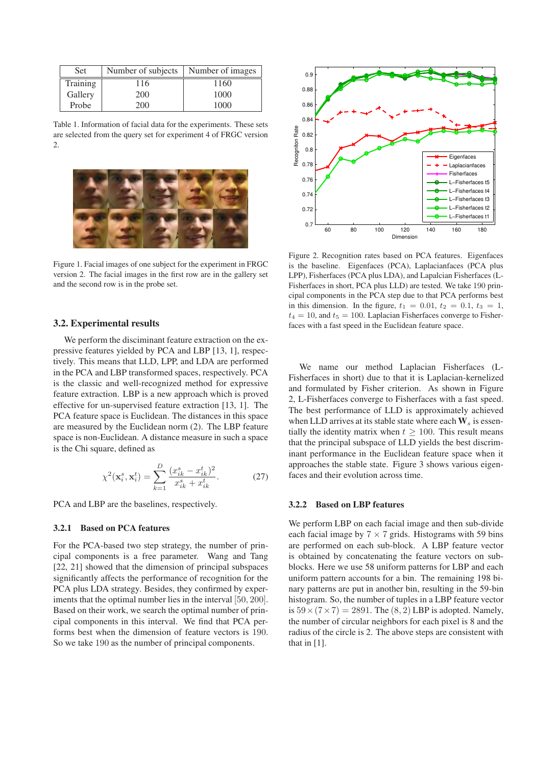| <b>Set</b> | Number of subjects   Number of images |      |
|------------|---------------------------------------|------|
| Training   | 116                                   | 1160 |
| Gallery    | 200                                   | 1000 |
| Probe      | 200                                   | 1000 |

Table 1. Information of facial data for the experiments. These sets are selected from the query set for experiment 4 of FRGC version 2.



Figure 1. Facial images of one subject for the experiment in FRGC version 2. The facial images in the first row are in the gallery set and the second row is in the probe set.

#### **3.2. Experimental results**

We perform the disciminant feature extraction on the expressive features yielded by PCA and LBP [13, 1], respectively. This means that LLD, LPP, and LDA are performed in the PCA and LBP transformed spaces, respectively. PCA is the classic and well-recognized method for expressive feature extraction. LBP is a new approach which is proved effective for un-supervised feature extraction [13, 1]. The PCA feature space is Euclidean. The distances in this space are measured by the Euclidean norm (2). The LBP feature space is non-Euclidean. A distance measure in such a space is the Chi square, defined as

$$
\chi^{2}(\mathbf{x}_{i}^{s}, \mathbf{x}_{i}^{t}) = \sum_{k=1}^{D} \frac{(x_{ik}^{s} - x_{ik}^{t})^{2}}{x_{ik}^{s} + x_{ik}^{t}}.
$$
 (27)

PCA and LBP are the baselines, respectively.

#### **3.2.1 Based on PCA features**

For the PCA-based two step strategy, the number of principal components is a free parameter. Wang and Tang [22, 21] showed that the dimension of principal subspaces significantly affects the performance of recognition for the PCA plus LDA strategy. Besides, they confirmed by experiments that the optimal number lies in the interval [50, 200]. Based on their work, we search the optimal number of principal components in this interval. We find that PCA performs best when the dimension of feature vectors is 190. So we take 190 as the number of principal components.



Figure 2. Recognition rates based on PCA features. Eigenfaces is the baseline. Eigenfaces (PCA), Laplacianfaces (PCA plus LPP), Fisherfaces (PCA plus LDA), and Lapalcian Fisherfaces (L-Fisherfaces in short, PCA plus LLD) are tested. We take 190 principal components in the PCA step due to that PCA performs best in this dimension. In the figure,  $t_1 = 0.01, t_2 = 0.1, t_3 = 1$ ,  $t_4 = 10$ , and  $t_5 = 100$ . Laplacian Fisherfaces converge to Fisherfaces with a fast speed in the Euclidean feature space.

We name our method Laplacian Fisherfaces (L-Fisherfaces in short) due to that it is Laplacian-kernelized and formulated by Fisher criterion. As shown in Figure 2, L-Fisherfaces converge to Fisherfaces with a fast speed. The best performance of LLD is approximately achieved when LLD arrives at its stable state where each  $W_s$  is essentially the identity matrix when  $t \ge 100$ . This result means that the principal subspace of LLD yields the best discriminant performance in the Euclidean feature space when it approaches the stable state. Figure 3 shows various eigenfaces and their evolution across time.

### **3.2.2 Based on LBP features**

We perform LBP on each facial image and then sub-divide each facial image by  $7 \times 7$  grids. Histograms with 59 bins are performed on each sub-block. A LBP feature vector is obtained by concatenating the feature vectors on subblocks. Here we use 58 uniform patterns for LBP and each uniform pattern accounts for a bin. The remaining 198 binary patterns are put in another bin, resulting in the 59-bin histogram. So, the number of tuples in a LBP feature vector is  $59 \times (7 \times 7) = 2891$ . The  $(8, 2)$  LBP is adopted. Namely, the number of circular neighbors for each pixel is 8 and the radius of the circle is 2. The above steps are consistent with that in [1].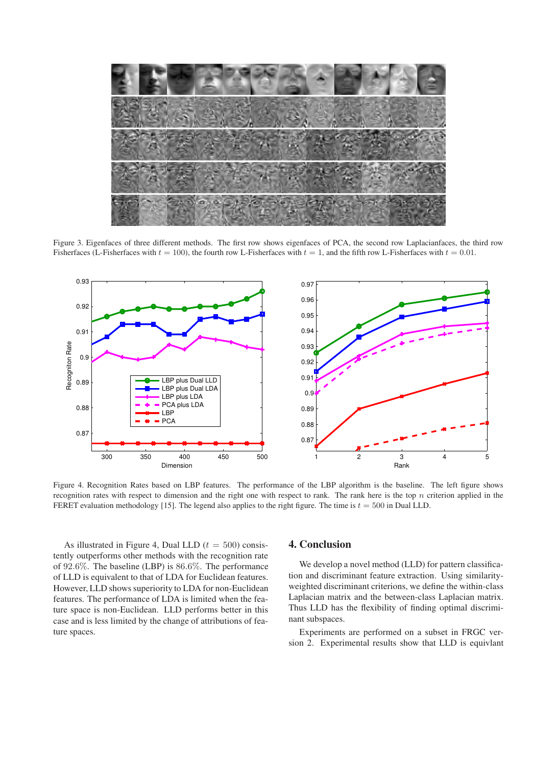

Figure 3. Eigenfaces of three different methods. The first row shows eigenfaces of PCA, the second row Laplacianfaces, the third row Fisherfaces (L-Fisherfaces with  $t = 100$ ), the fourth row L-Fisherfaces with  $t = 1$ , and the fifth row L-Fisherfaces with  $t = 0.01$ .



Figure 4. Recognition Rates based on LBP features. The performance of the LBP algorithm is the baseline. The left figure shows recognition rates with respect to dimension and the right one with respect to rank. The rank here is the top  $n$  criterion applied in the FERET evaluation methodology [15]. The legend also applies to the right figure. The time is  $t = 500$  in Dual LLD.

As illustrated in Figure 4, Dual LLD  $(t = 500)$  consistently outperforms other methods with the recognition rate of 92.6%. The baseline (LBP) is 86.6%. The performance of LLD is equivalent to that of LDA for Euclidean features. However, LLD shows superiority to LDA for non-Euclidean features. The performance of LDA is limited when the feature space is non-Euclidean. LLD performs better in this case and is less limited by the change of attributions of feature spaces.

### **4. Conclusion**

We develop a novel method (LLD) for pattern classification and discriminant feature extraction. Using similarityweighted discriminant criterions, we define the within-class Laplacian matrix and the between-class Laplacian matrix. Thus LLD has the flexibility of finding optimal discriminant subspaces.

Experiments are performed on a subset in FRGC version 2. Experimental results show that LLD is equivlant